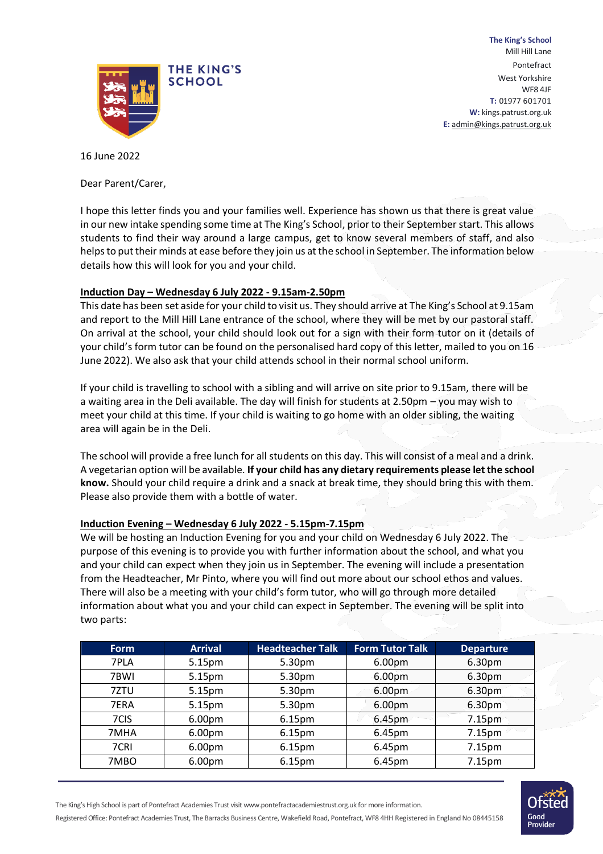

**The King's School** Mill Hill Lane Pontefract West Yorkshire WF8 4JF **T:** 01977 601701 **W:** kings.patrust.org.uk **E:** [admin@kings.patrust.org.uk](mailto:admin@kings.patrust.org.uk)

16 June 2022

Dear Parent/Carer,

I hope this letter finds you and your families well. Experience has shown us that there is great value in our new intake spending some time at The King's School, prior to their September start. This allows students to find their way around a large campus, get to know several members of staff, and also helps to put their minds at ease before they join us at the school in September. The information below details how this will look for you and your child.

# **Induction Day – Wednesday 6 July 2022 - 9.15am-2.50pm**

This date has been set aside for your child to visit us. They should arrive at The King's School at 9.15am and report to the Mill Hill Lane entrance of the school, where they will be met by our pastoral staff. On arrival at the school, your child should look out for a sign with their form tutor on it (details of your child's form tutor can be found on the personalised hard copy of this letter, mailed to you on 16 June 2022). We also ask that your child attends school in their normal school uniform.

If your child is travelling to school with a sibling and will arrive on site prior to 9.15am, there will be a waiting area in the Deli available. The day will finish for students at 2.50pm – you may wish to meet your child at this time. If your child is waiting to go home with an older sibling, the waiting area will again be in the Deli.

The school will provide a free lunch for all students on this day. This will consist of a meal and a drink. A vegetarian option will be available. **If your child has any dietary requirements please let the school know.** Should your child require a drink and a snack at break time, they should bring this with them. Please also provide them with a bottle of water.

#### **Induction Evening – Wednesday 6 July 2022 - 5.15pm-7.15pm**

We will be hosting an Induction Evening for you and your child on Wednesday 6 July 2022. The purpose of this evening is to provide you with further information about the school, and what you and your child can expect when they join us in September. The evening will include a presentation from the Headteacher, Mr Pinto, where you will find out more about our school ethos and values. There will also be a meeting with your child's form tutor, who will go through more detailed information about what you and your child can expect in September. The evening will be split into two parts:

| <b>Form</b> | <b>Arrival</b> | <b>Headteacher Talk</b> | <b>Form Tutor Talk</b> | <b>Departure</b> |
|-------------|----------------|-------------------------|------------------------|------------------|
| 7PLA        | 5.15pm         | 5.30pm                  | 6.00 <sub>pm</sub>     | 6.30pm           |
| 7BWI        | 5.15pm         | 5.30pm                  | 6.00pm                 | 6.30pm           |
| 7ZTU        | 5.15pm         | 5.30pm                  | 6.00pm                 | 6.30pm           |
| 7ERA        | 5.15pm         | 5.30pm                  | 6.00pm                 | 6.30pm           |
| 7CIS        | 6.00pm         | 6.15pm                  | 6.45pm                 | 7.15pm           |
| 7MHA        | 6.00pm         | 6.15pm                  | 6.45pm                 | 7.15pm           |
| 7CRI        | 6.00pm         | 6.15pm                  | 6.45pm                 | 7.15pm           |
| 7MBO        | 6.00pm         | 6.15 <sub>pm</sub>      | 6.45pm                 | 7.15pm           |



The King's High School is part of Pontefract Academies Trust visi[t www.pontefractacademiestrust.org.uk f](http://www.pontefractacademiestrust.org.uk/)or more information. Registered Office: Pontefract Academies Trust, The Barracks Business Centre, Wakefield Road, Pontefract, WF8 4HH Registered in England No 08445158